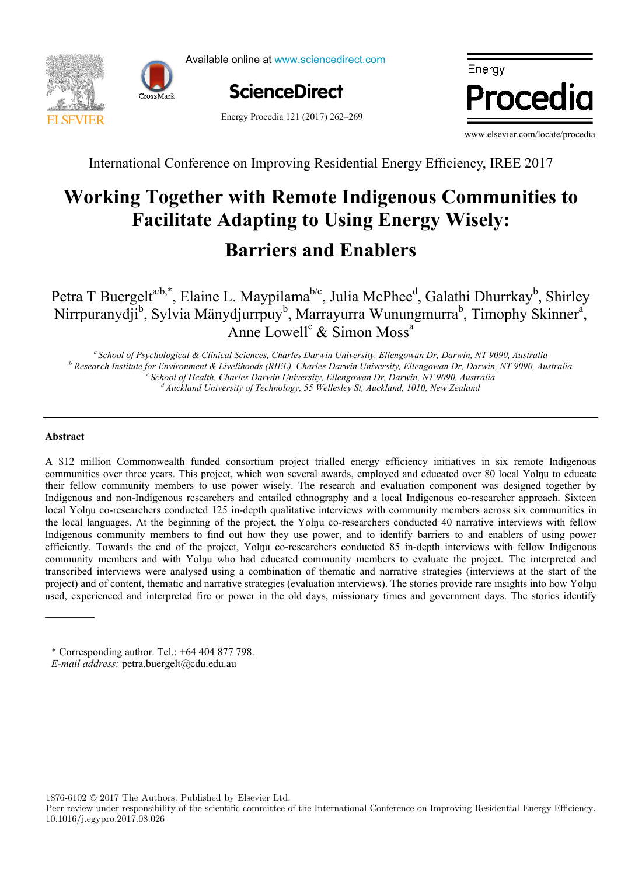

Available online at www.sciencedirect.com



Energy Procedia 121 (2017) 262-269



www.elsevier.com/locate/procedia

International Conference on Improving Residential Energy Efficiency, IREE 2017

# Facilitate Adapting to Using Energy Wisely: **Barriers and Enablers Working Together with Remote Indigenous Communities to Working Together with Remote Indigenous Communities to**

I. Buergelt  $\beta$ , Elaine L. Mayphama , Julia McPhee , Galathi Dhurrkay , Sh *IN+ Center for Innovation, Technology and Policy Research - Instituto Superior Técnico, Av. Rovisco Pais 1, 1049-001 Lisbon, Portugal* Anne Lowell<sup>c</sup> & Simon Moss<sup>a</sup> Petra T Buergelt<sup>a/b,\*</sup>, Elaine L. Maypilama<sup>b/c</sup>, Julia McPhee<sup>d</sup>, Galathi Dhurrkay<sup>b</sup>, Shirley Nirrpuranydji<sup>b</sup>, Sylvia Mänydjurrpuy<sup>b</sup>, Marrayurra Wunungmurra<sup>b</sup>, Timophy Skinner<sup>a</sup>. Petra T Buergelt<sup>a/b,\*</sup>, Elaine L. Maypilama<sup>b/c</sup>, Julia McPhee<sup>d</sup>, Galathi Dhurrkay<sup>b</sup>, Shirley Nirrpuranydji<sup>b</sup>, Sylvia Mänydjurrpuy<sup>b</sup>, Marrayurra Wunungmurra<sup>b</sup>, Timophy Skinner<sup>a</sup>,

<sup>a</sup> School of Psychological & Clinical Sciences, Charles Darwin University, Ellengowan Dr, Darwin, NT 9090, Australia<br><sup>b</sup> Pescarch Institute for Emvironment & Livelihoods (PIEL), Charles Darwin University, Ellengowan Dr, Research Institute for Environment & Livelihoods (RIEL), Charles Darwin University, Ellengowan Dr, Darwin, NT 9090, Australia<br><sup>6</sup> School of Health, Charles Darwin University, Ellengowan Dr, Darwin, NT 9090, Australia<br><sup>d</sup> A

#### District heating networks are commonly addressed in the literature as one of the most effective solutions for decreasing the greenhouse gas emissions from the building sector. The building sector. The heat systems require high investments which are returned through the heat systems  $\alpha$ **Abstract Abstract**

sales. Due to the changed climate conditions and building renovation policies, heat demand in the future could decrease, A \$12 million Commonwealth funded consortium project trialled energy efficiency initiatives in six remote Indigenous their fellow community members to use power wisely. The research and evaluation component was designed together by Indigenous and non-Indigenous researchers and entailed ethnography and a local Indigenous co-researcher approach. Sixteen local Yolnu co-researchers conducted 125 in-depth qualitative interviews with community members across six communities in the local languages. At the beginning of the project, the Yolnu co-researchers conducted 40 narrative interviews with fellow Indigenous community members to find out how they use power, and to identify barriers to and enablers of using power efficiently. Towards the end of the project, Yolnu co-researchers conducted 85 in-depth interviews with fellow Indigenous community members and with Yolnu who had educated community members to evaluate the project. The interpreted and transcribed interviews were analysed using a combination of thematic and narrative strategies (interviews at the start of the project) and of content, thematic and narrative strategies (evaluation interviews). The stories provide rare insights into how Yolnu used, experienced and interpreted fire or power in the old days, missionary times and government days. The stories identify communities over three years. This project, which won several awards, employed and educated over 80 local Yolnu to educate

coupled scenarios). The values suggested could be used to modify the function parameters for the scenarios considered, and

Peer-review under responsibility of the Scientific Committee of The 15th International Symposium on District Heating and

1876-6102 © 2017 The Authors. Published by Elsevier Ltd.

Peer-review under responsibility of the scientific committee of the International Conference on Improving Residential Energy Efficiency. 10.1016/j.egypro.2017.08.026

<sup>©</sup> 2017 The Authors. Published by Elsevier Ltd. *E-mail address:* petra.buergelt@cdu.edu.au *E-mail address:* petra.buergelt@cdu.edu.au \* Corresponding author. Tel.: +64 404 877 798. \* Corresponding author. Tel.: +64 404 877 798.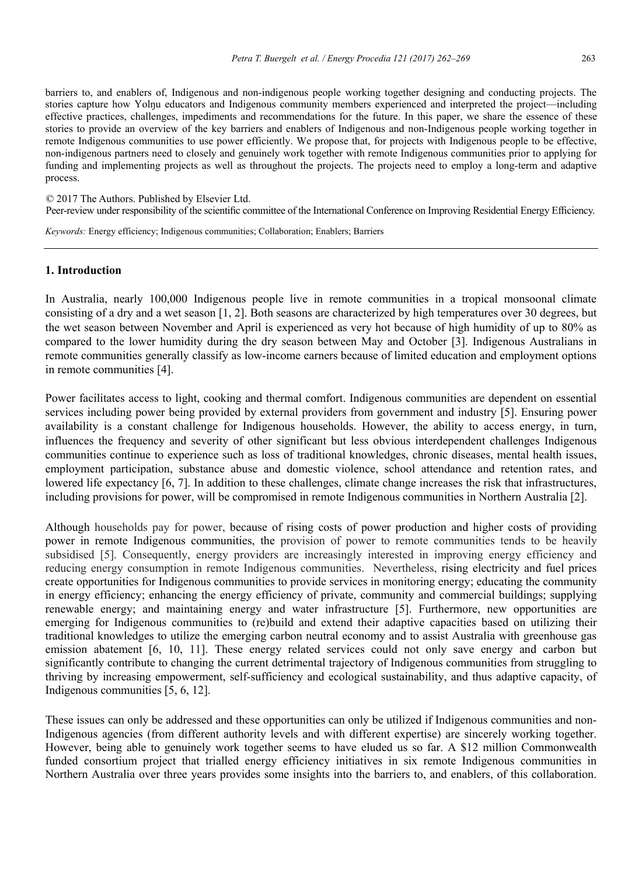barriers to, and enablers of, Indigenous and non-indigenous people working together designing and conducting projects. The stories capture how Yolyu educators and Indigenous community members experienced and interpreted the project—including effective practices, challenges, impediments and recommendations for the future. In this paper, we share the essence of these stories to provide an overview of the key barriers and enablers of Indigenous and non-Indigenous people working together in remote Indigenous communities to use power efficiently. We propose that, for projects with Indigenous people to be effective, non-indigenous partners need to closely and genuinely work together with remote Indigenous communities prior to applying for process. funding and implementing projects as well as throughout the projects. The projects need to employ a long-term and adaptive process.

© 2017 The Authors. Published by Elsevier Ltd.

Peer-review under responsibility of the scientific committee of the International Conference on Improving Residential Energy Efficiency.

Keywords: Energy efficiency; Indigenous communities; Collaboration; Enablers; Barriers *Keywords:* Energy efficiency; Indigenous communities; Collaboration; Enablers; Barriers

#### **1. Introduction**

In Australia, nearly 100,000 Indigenous people live in remote communities in a tropical monsoonal climate consisting of a dry and a wet season [1, 2]. Both seasons are characterized by high temperatures over 30 degrees, but the wet season between November and April is experienced as very hot because of high humidity of up to 80% as compared to the lower humidity during the dry season between May and October [3]. Indigenous Australians in remote communities generally classify as low-income earners because of limited education and employment options in remote communities  $[4]$ .

Power facilitates access to light, cooking and thermal comfort. Indigenous communities are dependent on essential services including power being provided by external providers from government and industry [5]. Ensuring power availability is a constant challenge for Indigenous households. However, the ability to access energy, in turn, influences the frequency and severity of other significant but less obvious interdependent challenges Indigenous communities continue to experience such as loss of traditional knowledges, chronic diseases, mental health issues, employment participation, substance abuse and domestic violence, school attendance and retention rates, and lowered life expectancy [6, 7]. In addition to these challenges, climate change increases the risk that infrastructures, including provisions for power, will be compromised in remote Indigenous communities in Northern Australia [2].

Although households pay for power, because of rising costs of power production and higher costs of providing power in remote Indigenous communities, the provision of power to remote communities tends to be heavily subsidised [5]. Consequently, energy providers are increasingly interested in improving energy efficiency and reducing energy consumption in remote Indigenous communities. Nevertheless, rising electricity and fuel prices create opportunities for Indigenous communities to provide services in monitoring energy; educating the community in energy efficiency; enhancing the energy efficiency of private, community and commercial buildings; supplying renewable energy; and maintaining energy and water infrastructure [5]. Furthermore, new opportunities are emerging for Indigenous communities to (re)build and extend their adaptive capacities based on utilizing their traditional knowledges to utilize the emerging carbon neutral economy and to assist Australia with greenhouse gas emission abatement [6, 10, 11]. These energy related services could not only save energy and carbon but significantly contribute to changing the current detrimental trajectory of Indigenous communities from struggling to thriving by increasing empowerment, self-sufficiency and ecological sustainability, and thus adaptive capacity, of Indigenous communities  $[5, 6, 12]$ .

These issues can only be addressed and these opportunities can only be utilized if Indigenous communities and non-Indigenous agencies (from different authority levels and with different expertise) are sincerely working together. However, being able to genuinely work together seems to have eluded us so far. A \$12 million Commonwealth funded consortium project that trialled energy efficiency initiatives in six remote Indigenous communities in Northern Australia over three years provides some insights into the barriers to, and enablers, of this collaboration.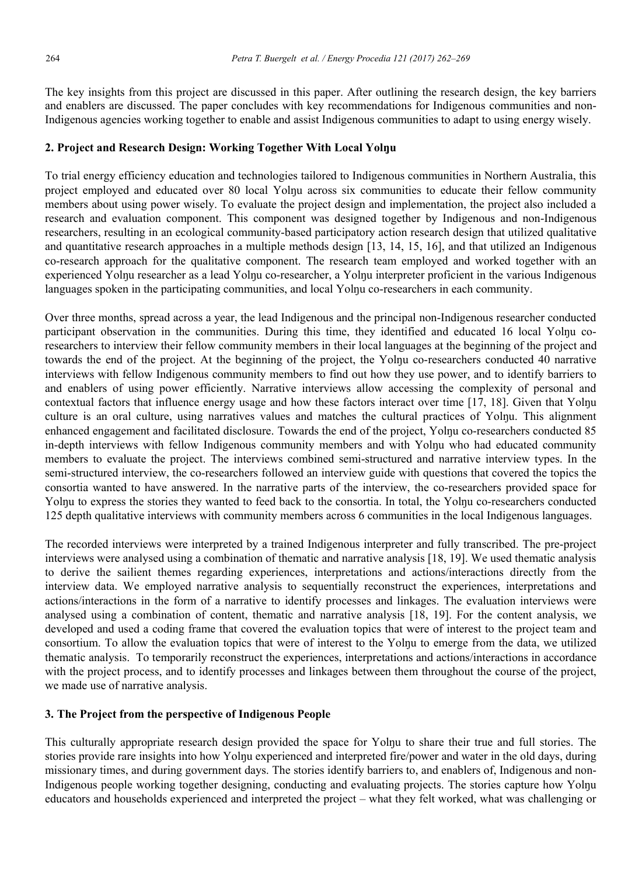The key insights from this project are discussed in this paper. After outlining the research design, the key barriers and enablers are discussed. The paper concludes with key recommendations for Indigenous communities and non-Indigenous agencies working together to enable and assist Indigenous communities to adapt to using energy wisely.

#### **2. Project and Research Design: Working Together With Local Yolŋu**

To trial energy efficiency education and technologies tailored to Indigenous communities in Northern Australia, this project employed and educated over 80 local Yolnu across six communities to educate their fellow community members about using power wisely. To evaluate the project design and implementation, the project also included a research and evaluation component. This component was designed together by Indigenous and non-Indigenous researchers, resulting in an ecological community-based participatory action research design that utilized qualitative and quantitative research approaches in a multiple methods design [13, 14, 15, 16], and that utilized an Indigenous co-research approach for the qualitative component. The research team employed and worked together with an experienced Yolnu researcher as a lead Yolnu co-researcher, a Yolnu interpreter proficient in the various Indigenous languages spoken in the participating communities, and local Yolnu co-researchers in each community.

Over three months, spread across a year, the lead Indigenous and the principal non-Indigenous researcher conducted participant observation in the communities. During this time, they identified and educated 16 local Yolŋu coresearchers to interview their fellow community members in their local languages at the beginning of the project and towards the end of the project. At the beginning of the project, the Yolnu co-researchers conducted 40 narrative interviews with fellow Indigenous community members to find out how they use power, and to identify barriers to and enablers of using power efficiently. Narrative interviews allow accessing the complexity of personal and contextual factors that influence energy usage and how these factors interact over time [17, 18]. Given that Yolnu culture is an oral culture, using narratives values and matches the cultural practices of Yolŋu. This alignment enhanced engagement and facilitated disclosure. Towards the end of the project, Yolnu co-researchers conducted 85 in-depth interviews with fellow Indigenous community members and with Yolŋu who had educated community members to evaluate the project. The interviews combined semi-structured and narrative interview types. In the semi-structured interview, the co-researchers followed an interview guide with questions that covered the topics the consortia wanted to have answered. In the narrative parts of the interview, the co-researchers provided space for Yolnu to express the stories they wanted to feed back to the consortia. In total, the Yolnu co-researchers conducted 125 depth qualitative interviews with community members across 6 communities in the local Indigenous languages.

The recorded interviews were interpreted by a trained Indigenous interpreter and fully transcribed. The pre-project interviews were analysed using a combination of thematic and narrative analysis [18, 19]. We used thematic analysis to derive the sailient themes regarding experiences, interpretations and actions/interactions directly from the interview data. We employed narrative analysis to sequentially reconstruct the experiences, interpretations and actions/interactions in the form of a narrative to identify processes and linkages. The evaluation interviews were analysed using a combination of content, thematic and narrative analysis [18, 19]. For the content analysis, we developed and used a coding frame that covered the evaluation topics that were of interest to the project team and consortium. To allow the evaluation topics that were of interest to the Yolŋu to emerge from the data, we utilized thematic analysis. To temporarily reconstruct the experiences, interpretations and actions/interactions in accordance with the project process, and to identify processes and linkages between them throughout the course of the project, we made use of narrative analysis.

# **3. The Project from the perspective of Indigenous People**

This culturally appropriate research design provided the space for Yolŋu to share their true and full stories. The stories provide rare insights into how Yolnu experienced and interpreted fire/power and water in the old days, during missionary times, and during government days. The stories identify barriers to, and enablers of, Indigenous and non-Indigenous people working together designing, conducting and evaluating projects. The stories capture how Yolnu educators and households experienced and interpreted the project – what they felt worked, what was challenging or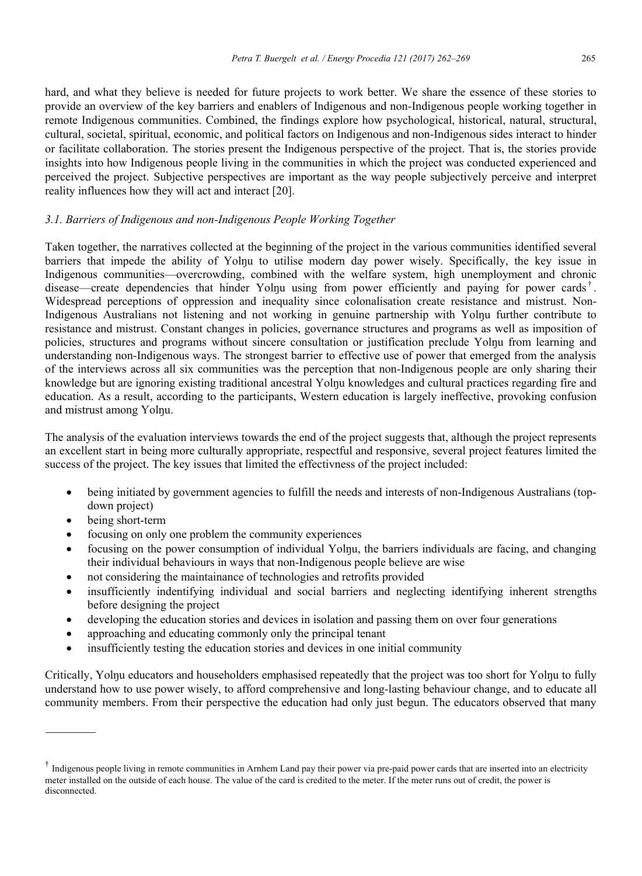hard, and what they believe is needed for future projects to work better. We share the essence of these stories to provide an overview of the key barriers and enablers of Indigenous and non-Indigenous people working together in remote Indigenous communities. Combined, the findings explore how psychological, historical, natural, structural, cultural, societal, spiritual, economic, and political factors on Indigenous and non-Indigenous sides interact to hinder or facilitate collaboration. The stories present the Indigenous perspective of the project. That is, the stories provide insights into how Indigenous people living in the communities in which the project was conducted experienced and perceived the project. Subjective perspectives are important as the way people subjectively perceive and interpret reality influences how they will act and interact [20].

#### *3.1. Barriers of Indigenous and non-Indigenous People Working Together*

Taken together, the narratives collected at the beginning of the project in the various communities identified several barriers that impede the ability of Yolnu to utilise modern day power wisely. Specifically, the key issue in Indigenous communities—overcrowding, combined with the welfare system, high unemployment and chronic disease—create dependencies that hinder Yolnu using from power efficiently and paying for power cards<sup>†</sup>. Widespread perceptions of oppression and inequality since colonalisation create resistance and mistrust. Non-Indigenous Australians not listening and not working in genuine partnership with Yolŋu further contribute to resistance and mistrust. Constant changes in policies, governance structures and programs as well as imposition of policies, structures and programs without sincere consultation or justification preclude Yolŋu from learning and understanding non-Indigenous ways. The strongest barrier to effective use of power that emerged from the analysis of the interviews across all six communities was the perception that non-Indigenous people are only sharing their knowledge but are ignoring existing traditional ancestral Yolnu knowledges and cultural practices regarding fire and education. As a result, according to the participants, Western education is largely ineffective, provoking confusion and mistrust among Yolŋu.

The analysis of the evaluation interviews towards the end of the project suggests that, although the project represents an excellent start in being more culturally appropriate, respectful and responsive, several project features limited the success of the project. The key issues that limited the effectivness of the project included:

- being initiated by government agencies to fulfill the needs and interests of non-Indigenous Australians (topdown project)
- being short-term
- focusing on only one problem the community experiences
- focusing on the power consumption of individual Yolnu, the barriers individuals are facing, and changing their individual behaviours in ways that non-Indigenous people believe are wise
- not considering the maintainance of technologies and retrofits provided
- insufficiently indentifying individual and social barriers and neglecting identifying inherent strengths before designing the project
- developing the education stories and devices in isolation and passing them on over four generations
- approaching and educating commonly only the principal tenant
- insufficiently testing the education stories and devices in one initial community

Critically, Yolnu educators and householders emphasised repeatedly that the project was too short for Yolnu to fully understand how to use power wisely, to afford comprehensive and long-lasting behaviour change, and to educate all community members. From their perspective the education had only just begun. The educators observed that many

 $\dagger$  Indigenous people living in remote communities in Arnhem Land pay their power via pre-paid power cards that are inserted into an electricity meter installed on the outside of each house. The value of the card is credited to the meter. If the meter runs out of credit, the power is disconnected.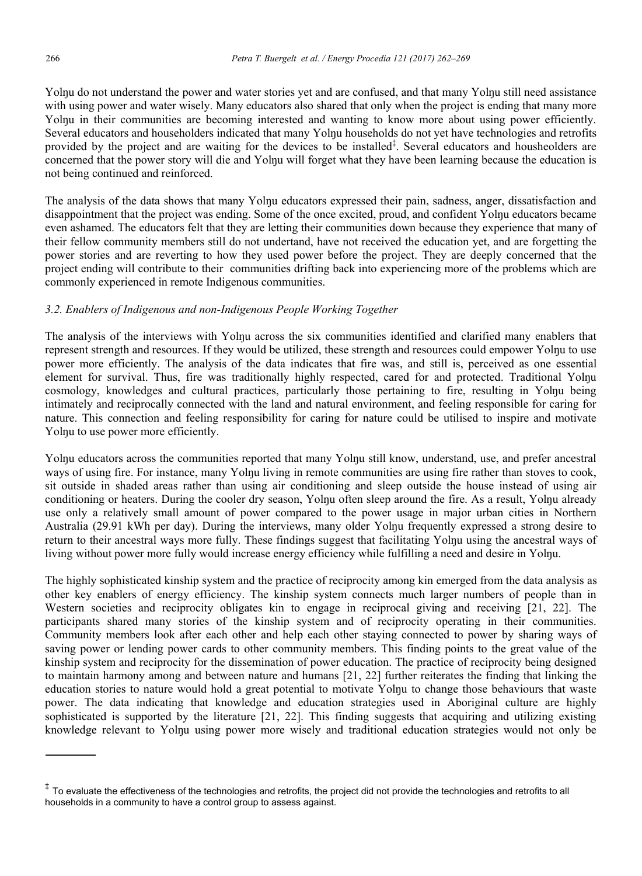Yolŋu do not understand the power and water stories yet and are confused, and that many Yolŋu still need assistance with using power and water wisely. Many educators also shared that only when the project is ending that many more Yolnu in their communities are becoming interested and wanting to know more about using power efficiently. Several educators and householders indicated that many Yolnu households do not yet have technologies and retrofits provided by the project and are waiting for the devices to be installed<sup>‡</sup>. Several educators and housheolders are concerned that the power story will die and Yolnu will forget what they have been learning because the education is not being continued and reinforced.

The analysis of the data shows that many Yolnu educators expressed their pain, sadness, anger, dissatisfaction and disappointment that the project was ending. Some of the once excited, proud, and confident Yolnu educators became even ashamed. The educators felt that they are letting their communities down because they experience that many of their fellow community members still do not undertand, have not received the education yet, and are forgetting the power stories and are reverting to how they used power before the project. They are deeply concerned that the project ending will contribute to their communities drifting back into experiencing more of the problems which are commonly experienced in remote Indigenous communities.

# *3.2. Enablers of Indigenous and non-Indigenous People Working Together*

The analysis of the interviews with Yolnu across the six communities identified and clarified many enablers that represent strength and resources. If they would be utilized, these strength and resources could empower Yolnu to use power more efficiently. The analysis of the data indicates that fire was, and still is, perceived as one essential element for survival. Thus, fire was traditionally highly respected, cared for and protected. Traditional Yolnu cosmology, knowledges and cultural practices, particularly those pertaining to fire, resulting in Yolŋu being intimately and reciprocally connected with the land and natural environment, and feeling responsible for caring for nature. This connection and feeling responsibility for caring for nature could be utilised to inspire and motivate Yolnu to use power more efficiently.

Yolnu educators across the communities reported that many Yolnu still know, understand, use, and prefer ancestral ways of using fire. For instance, many Yolnu living in remote communities are using fire rather than stoves to cook, sit outside in shaded areas rather than using air conditioning and sleep outside the house instead of using air conditioning or heaters. During the cooler dry season, Yolnu often sleep around the fire. As a result, Yolnu already use only a relatively small amount of power compared to the power usage in major urban cities in Northern Australia (29.91 kWh per day). During the interviews, many older Yolŋu frequently expressed a strong desire to return to their ancestral ways more fully. These findings suggest that facilitating Yolnu using the ancestral ways of living without power more fully would increase energy efficiency while fulfilling a need and desire in Yolnu.

The highly sophisticated kinship system and the practice of reciprocity among kin emerged from the data analysis as other key enablers of energy efficiency. The kinship system connects much larger numbers of people than in Western societies and reciprocity obligates kin to engage in reciprocal giving and receiving [21, 22]. The participants shared many stories of the kinship system and of reciprocity operating in their communities. Community members look after each other and help each other staying connected to power by sharing ways of saving power or lending power cards to other community members. This finding points to the great value of the kinship system and reciprocity for the dissemination of power education. The practice of reciprocity being designed to maintain harmony among and between nature and humans [21, 22] further reiterates the finding that linking the education stories to nature would hold a great potential to motivate Yolnu to change those behaviours that waste power. The data indicating that knowledge and education strategies used in Aboriginal culture are highly sophisticated is supported by the literature [21, 22]. This finding suggests that acquiring and utilizing existing knowledge relevant to Yolnu using power more wisely and traditional education strategies would not only be

<sup>&</sup>lt;sup>‡</sup> To evaluate the effectiveness of the technologies and retrofits, the project did not provide the technologies and retrofits to all households in a community to have a control group to assess against.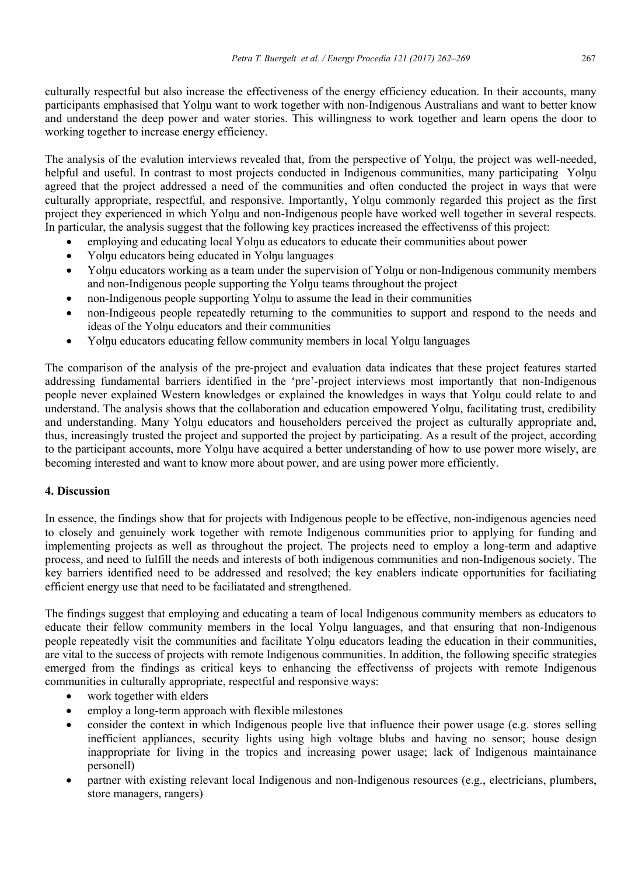culturally respectful but also increase the effectiveness of the energy efficiency education. In their accounts, many participants emphasised that Yolnu want to work together with non-Indigenous Australians and want to better know and understand the deep power and water stories. This willingness to work together and learn opens the door to working together to increase energy efficiency.

The analysis of the evalution interviews revealed that, from the perspective of Yolŋu, the project was well-needed, helpful and useful. In contrast to most projects conducted in Indigenous communities, many participating Yolnu agreed that the project addressed a need of the communities and often conducted the project in ways that were culturally appropriate, respectful, and responsive. Importantly, Yolŋu commonly regarded this project as the first project they experienced in which Yolnu and non-Indigenous people have worked well together in several respects. In particular, the analysis suggest that the following key practices increased the effectivenss of this project:

- employing and educating local Yolnu as educators to educate their communities about power
- Yolnu educators being educated in Yolnu languages
- Yolnu educators working as a team under the supervision of Yolnu or non-Indigenous community members and non-Indigenous people supporting the Yolnu teams throughout the project
- non-Indigenous people supporting Yolnu to assume the lead in their communities
- non-Indigeous people repeatedly returning to the communities to support and respond to the needs and ideas of the Yolnu educators and their communities
- Yolnu educators educating fellow community members in local Yolnu languages

The comparison of the analysis of the pre-project and evaluation data indicates that these project features started addressing fundamental barriers identified in the 'pre'-project interviews most importantly that non-Indigenous people never explained Western knowledges or explained the knowledges in ways that Yolnu could relate to and understand. The analysis shows that the collaboration and education empowered Yolnu, facilitating trust, credibility and understanding. Many Yolnu educators and householders perceived the project as culturally appropriate and, thus, increasingly trusted the project and supported the project by participating. As a result of the project, according to the participant accounts, more Yolnu have acquired a better understanding of how to use power more wisely, are becoming interested and want to know more about power, and are using power more efficiently.

# **4. Discussion**

In essence, the findings show that for projects with Indigenous people to be effective, non-indigenous agencies need to closely and genuinely work together with remote Indigenous communities prior to applying for funding and implementing projects as well as throughout the project. The projects need to employ a long-term and adaptive process, and need to fulfill the needs and interests of both indigenous communities and non-Indigenous society. The key barriers identified need to be addressed and resolved; the key enablers indicate opportunities for faciliating efficient energy use that need to be faciliatated and strengthened.

The findings suggest that employing and educating a team of local Indigenous community members as educators to educate their fellow community members in the local Yolnu languages, and that ensuring that non-Indigenous people repeatedly visit the communities and facilitate Yolnu educators leading the education in their communities, are vital to the success of projects with remote Indigenous communities. In addition, the following specific strategies emerged from the findings as critical keys to enhancing the effectivenss of projects with remote Indigenous communities in culturally appropriate, respectful and responsive ways:

- work together with elders
- employ a long-term approach with flexible milestones
- consider the context in which Indigenous people live that influence their power usage (e.g. stores selling inefficient appliances, security lights using high voltage blubs and having no sensor; house design inappropriate for living in the tropics and increasing power usage; lack of Indigenous maintainance personell)
- partner with existing relevant local Indigenous and non-Indigenous resources (e.g., electricians, plumbers, store managers, rangers)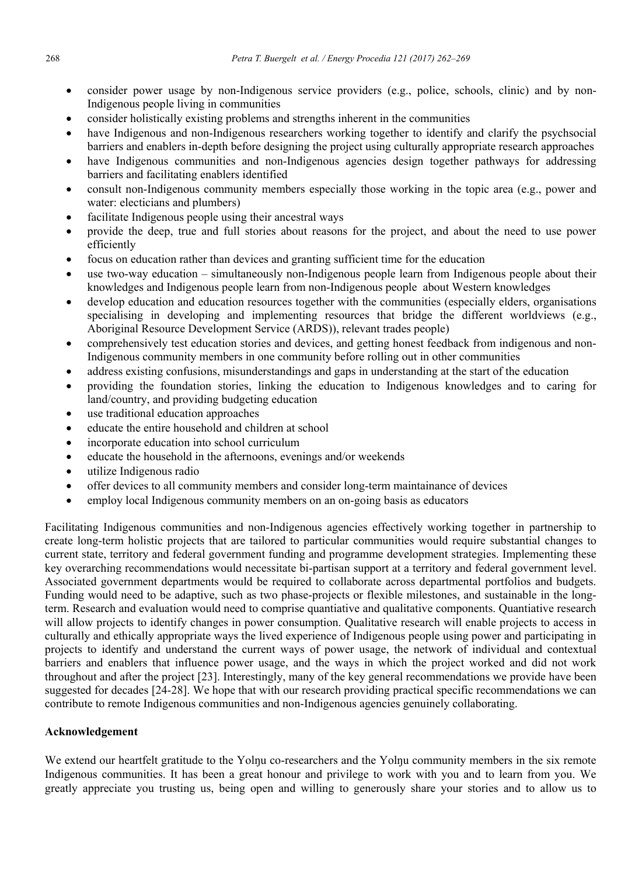- consider power usage by non-Indigenous service providers (e.g., police, schools, clinic) and by non-Indigenous people living in communities
- consider holistically existing problems and strengths inherent in the communities
- have Indigenous and non-Indigenous researchers working together to identify and clarify the psychsocial barriers and enablers in-depth before designing the project using culturally appropriate research approaches
- have Indigenous communities and non-Indigenous agencies design together pathways for addressing barriers and facilitating enablers identified
- consult non-Indigenous community members especially those working in the topic area (e.g., power and water: electicians and plumbers)
- facilitate Indigenous people using their ancestral ways
- provide the deep, true and full stories about reasons for the project, and about the need to use power efficiently
- focus on education rather than devices and granting sufficient time for the education
- use two-way education simultaneously non-Indigenous people learn from Indigenous people about their knowledges and Indigenous people learn from non-Indigenous people about Western knowledges
- develop education and education resources together with the communities (especially elders, organisations specialising in developing and implementing resources that bridge the different worldviews (e.g., Aboriginal Resource Development Service (ARDS)), relevant trades people)
- comprehensively test education stories and devices, and getting honest feedback from indigenous and non-Indigenous community members in one community before rolling out in other communities
- address existing confusions, misunderstandings and gaps in understanding at the start of the education
- providing the foundation stories, linking the education to Indigenous knowledges and to caring for land/country, and providing budgeting education
- use traditional education approaches
- educate the entire household and children at school
- incorporate education into school curriculum
- educate the household in the afternoons, evenings and/or weekends
- utilize Indigenous radio
- offer devices to all community members and consider long-term maintainance of devices
- employ local Indigenous community members on an on-going basis as educators

Facilitating Indigenous communities and non-Indigenous agencies effectively working together in partnership to create long-term holistic projects that are tailored to particular communities would require substantial changes to current state, territory and federal government funding and programme development strategies. Implementing these key overarching recommendations would necessitate bi-partisan support at a territory and federal government level. Associated government departments would be required to collaborate across departmental portfolios and budgets. Funding would need to be adaptive, such as two phase-projects or flexible milestones, and sustainable in the longterm. Research and evaluation would need to comprise quantiative and qualitative components. Quantiative research will allow projects to identify changes in power consumption. Qualitative research will enable projects to access in culturally and ethically appropriate ways the lived experience of Indigenous people using power and participating in projects to identify and understand the current ways of power usage, the network of individual and contextual barriers and enablers that influence power usage, and the ways in which the project worked and did not work throughout and after the project [23]. Interestingly, many of the key general recommendations we provide have been suggested for decades [24-28]. We hope that with our research providing practical specific recommendations we can contribute to remote Indigenous communities and non-Indigenous agencies genuinely collaborating.

# **Acknowledgement**

We extend our heartfelt gratitude to the Yolnu co-researchers and the Yolnu community members in the six remote Indigenous communities. It has been a great honour and privilege to work with you and to learn from you. We greatly appreciate you trusting us, being open and willing to generously share your stories and to allow us to